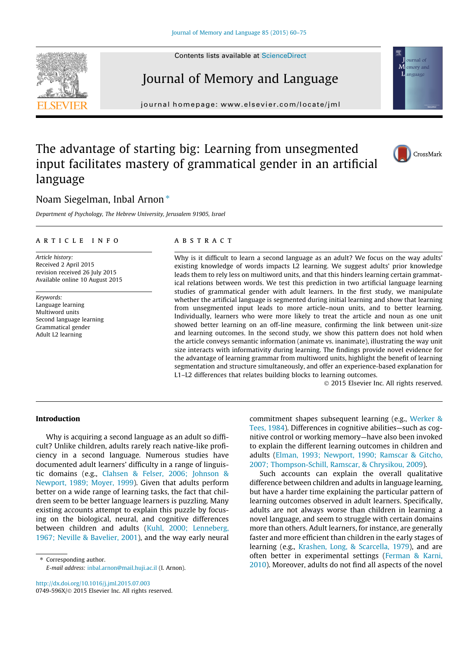

# Journal of Memory and Language

journal homepage: [www.elsevier.com/locate/jml](http://www.elsevier.com/locate/jml)



CrossMark

# The advantage of starting big: Learning from unsegmented input facilitates mastery of grammatical gender in an artificial language

# Noam Siegelman, Inbal Arnon<sup>\*</sup>

Department of Psychology, The Hebrew University, Jerusalem 91905, Israel

### article info

Article history: Received 2 April 2015 revision received 26 July 2015 Available online 10 August 2015

Keywords: Language learning Multiword units Second language learning Grammatical gender Adult L2 learning

# **ABSTRACT**

Why is it difficult to learn a second language as an adult? We focus on the way adults' existing knowledge of words impacts L2 learning. We suggest adults' prior knowledge leads them to rely less on multiword units, and that this hinders learning certain grammatical relations between words. We test this prediction in two artificial language learning studies of grammatical gender with adult learners. In the first study, we manipulate whether the artificial language is segmented during initial learning and show that learning from unsegmented input leads to more article–noun units, and to better learning. Individually, learners who were more likely to treat the article and noun as one unit showed better learning on an off-line measure, confirming the link between unit-size and learning outcomes. In the second study, we show this pattern does not hold when the article conveys semantic information (animate vs. inanimate), illustrating the way unit size interacts with informativity during learning. The findings provide novel evidence for the advantage of learning grammar from multiword units, highlight the benefit of learning segmentation and structure simultaneously, and offer an experience-based explanation for L1–L2 differences that relates building blocks to learning outcomes.

2015 Elsevier Inc. All rights reserved.

# Introduction

Why is acquiring a second language as an adult so difficult? Unlike children, adults rarely reach native-like proficiency in a second language. Numerous studies have documented adult learners' difficulty in a range of linguistic domains (e.g., [Clahsen & Felser, 2006; Johnson &](#page-14-0) [Newport, 1989; Moyer, 1999](#page-14-0)). Given that adults perform better on a wide range of learning tasks, the fact that children seem to be better language learners is puzzling. Many existing accounts attempt to explain this puzzle by focusing on the biological, neural, and cognitive differences between children and adults [\(Kuhl, 2000; Lenneberg,](#page-14-0) [1967; Neville & Bavelier, 2001\)](#page-14-0), and the way early neural

⇑ Corresponding author. E-mail address: [inbal.arnon@mail.huji.ac.il](mailto:inbal.arnon@mail.huji.ac.il) (I. Arnon).

<http://dx.doi.org/10.1016/j.jml.2015.07.003> 0749-596X/ 2015 Elsevier Inc. All rights reserved. commitment shapes subsequent learning (e.g., [Werker &](#page-15-0) [Tees, 1984](#page-15-0)). Differences in cognitive abilities—such as cognitive control or working memory—have also been invoked to explain the different learning outcomes in children and adults [\(Elman, 1993; Newport, 1990; Ramscar & Gitcho,](#page-14-0) [2007; Thompson-Schill, Ramscar, & Chrysikou, 2009\)](#page-14-0).

Such accounts can explain the overall qualitative difference between children and adults in language learning, but have a harder time explaining the particular pattern of learning outcomes observed in adult learners. Specifically, adults are not always worse than children in learning a novel language, and seem to struggle with certain domains more than others. Adult learners, for instance, are generally faster and more efficient than children in the early stages of learning (e.g., [Krashen, Long, & Scarcella, 1979](#page-14-0)), and are often better in experimental settings ([Ferman & Karni,](#page-14-0) [2010](#page-14-0)). Moreover, adults do not find all aspects of the novel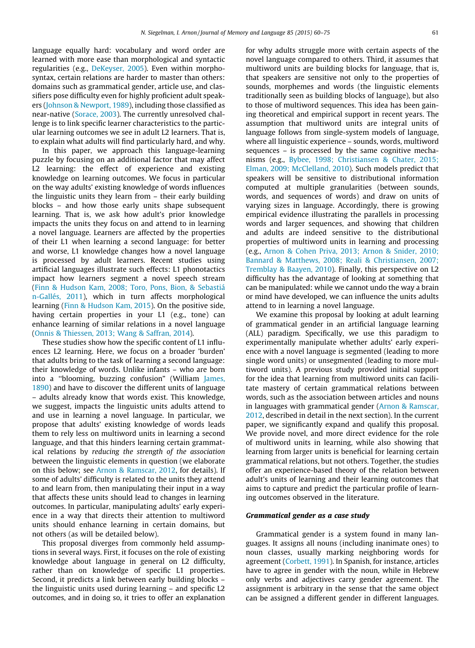language equally hard: vocabulary and word order are learned with more ease than morphological and syntactic regularities (e.g., [DeKeyser, 2005](#page-14-0)). Even within morphosyntax, certain relations are harder to master than others: domains such as grammatical gender, article use, and classifiers pose difficulty even for highly proficient adult speakers ([Johnson & Newport, 1989\)](#page-14-0), including those classified as near-native ([Sorace, 2003\)](#page-15-0). The currently unresolved challenge is to link specific learner characteristics to the particular learning outcomes we see in adult L2 learners. That is, to explain what adults will find particularly hard, and why.

In this paper, we approach this language-learning puzzle by focusing on an additional factor that may affect L2 learning: the effect of experience and existing knowledge on learning outcomes. We focus in particular on the way adults' existing knowledge of words influences the linguistic units they learn from – their early building blocks – and how those early units shape subsequent learning. That is, we ask how adult's prior knowledge impacts the units they focus on and attend to in learning a novel language. Learners are affected by the properties of their L1 when learning a second language: for better and worse, L1 knowledge changes how a novel language is processed by adult learners. Recent studies using artificial languages illustrate such effects: L1 phonotactics impact how learners segment a novel speech stream ([Finn & Hudson Kam, 2008; Toro, Pons, Bion, & Sebastiá](#page-14-0) [n-Gallés, 2011](#page-14-0)), which in turn affects morphological learning ([Finn & Hudson Kam, 2015\)](#page-14-0). On the positive side, having certain properties in your L1 (e.g., tone) can enhance learning of similar relations in a novel language ([Onnis & Thiessen, 2013; Wang & Saffran, 2014\)](#page-15-0).

These studies show how the specific content of L1 influences L2 learning. Here, we focus on a broader 'burden' that adults bring to the task of learning a second language: their knowledge of words. Unlike infants – who are born into a ''blooming, buzzing confusion" (William [James,](#page-14-0) [1890\)](#page-14-0) and have to discover the different units of language – adults already know that words exist. This knowledge, we suggest, impacts the linguistic units adults attend to and use in learning a novel language. In particular, we propose that adults' existing knowledge of words leads them to rely less on multiword units in learning a second language, and that this hinders learning certain grammatical relations by reducing the strength of the association between the linguistic elements in question (we elaborate on this below; see [Arnon & Ramscar, 2012](#page-14-0), for details). If some of adults' difficulty is related to the units they attend to and learn from, then manipulating their input in a way that affects these units should lead to changes in learning outcomes. In particular, manipulating adults' early experience in a way that directs their attention to multiword units should enhance learning in certain domains, but not others (as will be detailed below).

This proposal diverges from commonly held assumptions in several ways. First, it focuses on the role of existing knowledge about language in general on L2 difficulty, rather than on knowledge of specific L1 properties. Second, it predicts a link between early building blocks – the linguistic units used during learning – and specific L2 outcomes, and in doing so, it tries to offer an explanation for why adults struggle more with certain aspects of the novel language compared to others. Third, it assumes that multiword units are building blocks for language, that is, that speakers are sensitive not only to the properties of sounds, morphemes and words (the linguistic elements traditionally seen as building blocks of language), but also to those of multiword sequences. This idea has been gaining theoretical and empirical support in recent years. The assumption that multiword units are integral units of language follows from single-system models of language, where all linguistic experience – sounds, words, multiword sequences – is processed by the same cognitive mechanisms (e.g., [Bybee, 1998; Christiansen & Chater, 2015;](#page-14-0) [Elman, 2009; McClelland, 2010](#page-14-0)). Such models predict that speakers will be sensitive to distributional information computed at multiple granularities (between sounds, words, and sequences of words) and draw on units of varying sizes in language. Accordingly, there is growing empirical evidence illustrating the parallels in processing words and larger sequences, and showing that children and adults are indeed sensitive to the distributional properties of multiword units in learning and processing (e.g., [Arnon & Cohen Priva, 2013; Arnon & Snider, 2010;](#page-14-0) [Bannard & Matthews, 2008; Reali & Christiansen, 2007;](#page-14-0) [Tremblay & Baayen, 2010](#page-14-0)). Finally, this perspective on L2 difficulty has the advantage of looking at something that can be manipulated: while we cannot undo the way a brain or mind have developed, we can influence the units adults attend to in learning a novel language.

We examine this proposal by looking at adult learning of grammatical gender in an artificial language learning (ALL) paradigm. Specifically, we use this paradigm to experimentally manipulate whether adults' early experience with a novel language is segmented (leading to more single word units) or unsegmented (leading to more multiword units). A previous study provided initial support for the idea that learning from multiword units can facilitate mastery of certain grammatical relations between words, such as the association between articles and nouns in languages with grammatical gender ([Arnon & Ramscar,](#page-14-0) [2012,](#page-14-0) described in detail in the next section). In the current paper, we significantly expand and qualify this proposal. We provide novel, and more direct evidence for the role of multiword units in learning, while also showing that learning from larger units is beneficial for learning certain grammatical relations, but not others. Together, the studies offer an experience-based theory of the relation between adult's units of learning and their learning outcomes that aims to capture and predict the particular profile of learning outcomes observed in the literature.

# Grammatical gender as a case study

Grammatical gender is a system found in many languages. It assigns all nouns (including inanimate ones) to noun classes, usually marking neighboring words for agreement [\(Corbett, 1991](#page-14-0)). In Spanish, for instance, articles have to agree in gender with the noun, while in Hebrew only verbs and adjectives carry gender agreement. The assignment is arbitrary in the sense that the same object can be assigned a different gender in different languages.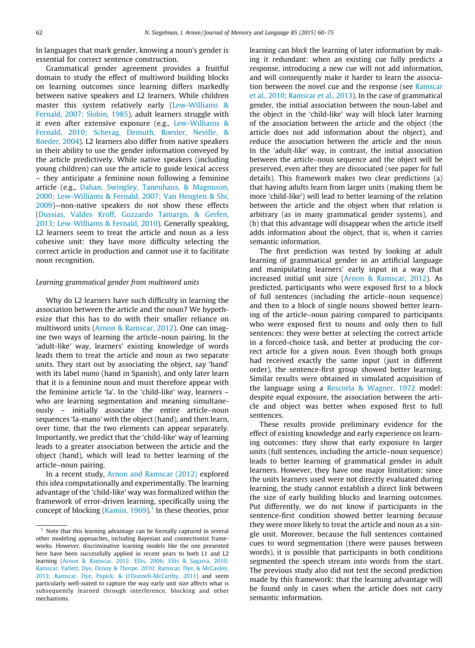In languages that mark gender, knowing a noun's gender is essential for correct sentence construction.

Grammatical gender agreement provides a fruitful domain to study the effect of multiword building blocks on learning outcomes since learning differs markedly between native speakers and L2 learners. While children master this system relatively early ([Lew-Williams &](#page-14-0) [Fernald, 2007; Slobin, 1985\)](#page-14-0), adult learners struggle with it even after extensive exposure (e.g., [Lew-Williams &](#page-15-0) [Fernald, 2010; Scherag, Demuth, Roesler, Neville, &](#page-15-0) [Roeder, 2004\)](#page-15-0). L2 learners also differ from native speakers in their ability to use the gender information conveyed by the article predictively. While native speakers (including young children) can use the article to guide lexical access – they anticipate a feminine noun following a feminine article (e.g., [Dahan, Swingley, Tanenhaus, & Magnuson,](#page-14-0) [2000; Lew-Williams & Fernald, 2007; Van Heugten & Shi,](#page-14-0) [2009](#page-14-0))—non-native speakers do not show these effects [\(Dussias, Valdes Kroff, Guzzardo Tamargo, & Gerfen,](#page-14-0) [2013; Lew-Williams & Fernald, 2010\)](#page-14-0). Generally speaking, L2 learners seem to treat the article and noun as a less cohesive unit: they have more difficulty selecting the correct article in production and cannot use it to facilitate noun recognition.

#### Learning grammatical gender from multiword units

Why do L2 learners have such difficulty in learning the association between the article and the noun? We hypothesize that this has to do with their smaller reliance on multiword units [\(Arnon & Ramscar, 2012\)](#page-14-0). One can imagine two ways of learning the article–noun pairing. In the 'adult-like' way, learners' existing knowledge of words leads them to treat the article and noun as two separate units. They start out by associating the object, say 'hand' with its label mano (hand in Spanish), and only later learn that it is a feminine noun and must therefore appear with the feminine article 'la'. In the 'child-like' way, learners – who are learning segmentation and meaning simultaneously – initially associate the entire article–noun sequences 'la-mano' with the object (hand), and then learn, over time, that the two elements can appear separately. Importantly, we predict that the 'child-like' way of learning leads to a greater association between the article and the object (hand), which will lead to better learning of the article–noun pairing.

In a recent study, [Arnon and Ramscar \(2012\)](#page-14-0) explored this idea computationally and experimentally. The learning advantage of the 'child-like' way was formalized within the framework of error-driven learning, specifically using the concept of blocking (Kamin,  $1969$ ).<sup>1</sup> In these theories, prior learning can block the learning of later information by making it redundant: when an existing cue fully predicts a response, introducing a new cue will not add information, and will consequently make it harder to learn the association between the novel cue and the response (see [Ramscar](#page-15-0) [et al., 2010; Ramscar et al., 2013](#page-15-0)). In the case of grammatical gender, the initial association between the noun-label and the object in the 'child-like' way will block later learning of the association between the article and the object (the article does not add information about the object), and reduce the association between the article and the noun. In the 'adult-like' way, in contrast, the initial association between the article–noun sequence and the object will be preserved, even after they are dissociated (see paper for full details). This framework makes two clear predictions (a) that having adults learn from larger units (making them be more 'child-like') will lead to better learning of the relation between the article and the object when that relation is arbitrary (as in many grammatical gender systems), and (b) that this advantage will disappear when the article itself adds information about the object, that is, when it carries semantic information.

The first prediction was tested by looking at adult learning of grammatical gender in an artificial language and manipulating learners' early input in a way that increased initial unit size [\(Arnon & Ramscar, 2012](#page-14-0)). As predicted, participants who were exposed first to a block of full sentences (including the article–noun sequence) and then to a block of single nouns showed better learning of the article–noun pairing compared to participants who were exposed first to nouns and only then to full sentences: they were better at selecting the correct article in a forced-choice task, and better at producing the correct article for a given noun. Even though both groups had received exactly the same input (just in different order), the sentence-first group showed better learning. Similar results were obtained in simulated acquisition of the language using a [Rescorla & Wagner, 1972](#page-15-0) model: despite equal exposure, the association between the article and object was better when exposed first to full sentences.

These results provide preliminary evidence for the effect of existing knowledge and early experience on learning outcomes: they show that early exposure to larger units (full sentences, including the article–noun sequence) leads to better learning of grammatical gender in adult learners. However, they have one major limitation: since the units learners used were not directly evaluated during learning, the study cannot establish a direct link between the size of early building blocks and learning outcomes. Put differently, we do not know if participants in the sentence-first condition showed better learning because they were more likely to treat the article and noun as a single unit. Moreover, because the full sentences contained cues to word segmentation (there were pauses between words), it is possible that participants in both conditions segmented the speech stream into words from the start. The previous study also did not test the second prediction made by this framework: that the learning advantage will be found only in cases when the article does not carry semantic information.

 $1$  Note that this learning advantage can be formally captured in several other modeling approaches, including Bayesian and connectionist frameworks. However, discriminative learning models like the one presented here have been successfully applied in recent years to both L1 and L2 learning ([Arnon & Ramscar, 2012; Ellis, 2006; Ellis & Sagarra, 2010;](#page-14-0) [Ramscar, Yarlett, Dye, Denny & Thorpe, 2010; Ramscar, Dye, & McCauley,](#page-14-0) [2013; Ramscar, Dye, Popick, & O'Donnell-McCarthy, 2011](#page-14-0)) and seem particularly well-suited to capture the way early unit size affects what is subsequently learned through interference, blocking and other mechanisms.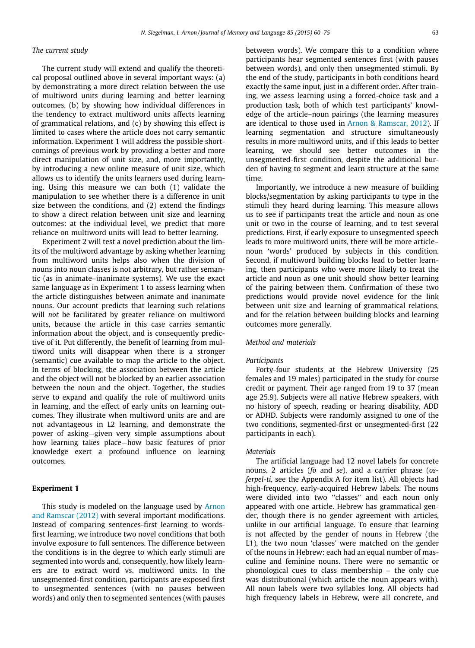# The current study

The current study will extend and qualify the theoretical proposal outlined above in several important ways: (a) by demonstrating a more direct relation between the use of multiword units during learning and better learning outcomes, (b) by showing how individual differences in the tendency to extract multiword units affects learning of grammatical relations, and (c) by showing this effect is limited to cases where the article does not carry semantic information. Experiment 1 will address the possible shortcomings of previous work by providing a better and more direct manipulation of unit size, and, more importantly, by introducing a new online measure of unit size, which allows us to identify the units learners used during learning. Using this measure we can both (1) validate the manipulation to see whether there is a difference in unit size between the conditions, and (2) extend the findings to show a direct relation between unit size and learning outcomes: at the individual level, we predict that more reliance on multiword units will lead to better learning.

Experiment 2 will test a novel prediction about the limits of the multiword advantage by asking whether learning from multiword units helps also when the division of nouns into noun classes is not arbitrary, but rather semantic (as in animate–inanimate systems). We use the exact same language as in Experiment 1 to assess learning when the article distinguishes between animate and inanimate nouns. Our account predicts that learning such relations will not be facilitated by greater reliance on multiword units, because the article in this case carries semantic information about the object, and is consequently predictive of it. Put differently, the benefit of learning from multiword units will disappear when there is a stronger (semantic) cue available to map the article to the object. In terms of blocking, the association between the article and the object will not be blocked by an earlier association between the noun and the object. Together, the studies serve to expand and qualify the role of multiword units in learning, and the effect of early units on learning outcomes. They illustrate when multiword units are and are not advantageous in L2 learning, and demonstrate the power of asking—given very simple assumptions about how learning takes place—how basic features of prior knowledge exert a profound influence on learning outcomes.

#### Experiment 1

This study is modeled on the language used by [Arnon](#page-14-0) [and Ramscar \(2012\)](#page-14-0) with several important modifications. Instead of comparing sentences-first learning to wordsfirst learning, we introduce two novel conditions that both involve exposure to full sentences. The difference between the conditions is in the degree to which early stimuli are segmented into words and, consequently, how likely learners are to extract word vs. multiword units. In the unsegmented-first condition, participants are exposed first to unsegmented sentences (with no pauses between words) and only then to segmented sentences (with pauses

between words). We compare this to a condition where participants hear segmented sentences first (with pauses between words), and only then unsegmented stimuli. By the end of the study, participants in both conditions heard exactly the same input, just in a different order. After training, we assess learning using a forced-choice task and a production task, both of which test participants' knowledge of the article–noun pairings (the learning measures are identical to those used in [Arnon & Ramscar, 2012\)](#page-14-0). If learning segmentation and structure simultaneously results in more multiword units, and if this leads to better learning, we should see better outcomes in the unsegmented-first condition, despite the additional burden of having to segment and learn structure at the same time.

Importantly, we introduce a new measure of building blocks/segmentation by asking participants to type in the stimuli they heard during learning. This measure allows us to see if participants treat the article and noun as one unit or two in the course of learning, and to test several predictions. First, if early exposure to unsegmented speech leads to more multiword units, there will be more article– noun 'words' produced by subjects in this condition. Second, if multiword building blocks lead to better learning, then participants who were more likely to treat the article and noun as one unit should show better learning of the pairing between them. Confirmation of these two predictions would provide novel evidence for the link between unit size and learning of grammatical relations, and for the relation between building blocks and learning outcomes more generally.

# Method and materials

#### **Participants**

Forty-four students at the Hebrew University (25 females and 19 males) participated in the study for course credit or payment. Their age ranged from 19 to 37 (mean age 25.9). Subjects were all native Hebrew speakers, with no history of speech, reading or hearing disability, ADD or ADHD. Subjects were randomly assigned to one of the two conditions, segmented-first or unsegmented-first (22 participants in each).

#### Materials

The artificial language had 12 novel labels for concrete nouns, 2 articles (fo and se), and a carrier phrase (osferpel-ti, see the Appendix A for item list). All objects had high-frequency, early-acquired Hebrew labels. The nouns were divided into two ''classes" and each noun only appeared with one article. Hebrew has grammatical gender, though there is no gender agreement with articles, unlike in our artificial language. To ensure that learning is not affected by the gender of nouns in Hebrew (the L1), the two noun 'classes' were matched on the gender of the nouns in Hebrew: each had an equal number of masculine and feminine nouns. There were no semantic or phonological cues to class membership – the only cue was distributional (which article the noun appears with). All noun labels were two syllables long. All objects had high frequency labels in Hebrew, were all concrete, and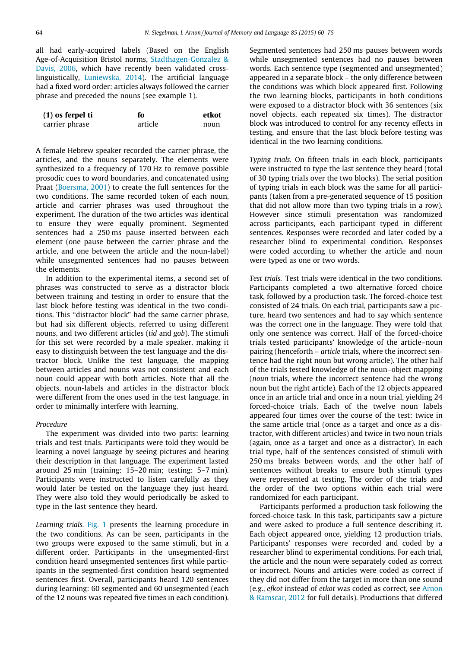all had early-acquired labels (Based on the English Age-of-Acquisition Bristol norms, [Stadthagen-Gonzalez &](#page-15-0) [Davis, 2006,](#page-15-0) which have recently been validated crosslinguistically, [Luniewska, 2014\)](#page-15-0). The artificial language had a fixed word order: articles always followed the carrier phrase and preceded the nouns (see example 1).

| $(1)$ os ferpel ti | fo      | etkot |
|--------------------|---------|-------|
| carrier phrase     | article | noun  |

A female Hebrew speaker recorded the carrier phrase, the articles, and the nouns separately. The elements were synthesized to a frequency of 170 Hz to remove possible prosodic cues to word boundaries, and concatenated using Praat ([Boersma, 2001](#page-14-0)) to create the full sentences for the two conditions. The same recorded token of each noun, article and carrier phrases was used throughout the experiment. The duration of the two articles was identical to ensure they were equally prominent. Segmented sentences had a 250 ms pause inserted between each element (one pause between the carrier phrase and the article, and one between the article and the noun-label) while unsegmented sentences had no pauses between the elements.

In addition to the experimental items, a second set of phrases was constructed to serve as a distractor block between training and testing in order to ensure that the last block before testing was identical in the two conditions. This ''distractor block" had the same carrier phrase, but had six different objects, referred to using different nouns, and two different articles (tid and gob). The stimuli for this set were recorded by a male speaker, making it easy to distinguish between the test language and the distractor block. Unlike the test language, the mapping between articles and nouns was not consistent and each noun could appear with both articles. Note that all the objects, noun-labels and articles in the distractor block were different from the ones used in the test language, in order to minimally interfere with learning.

### Procedure

The experiment was divided into two parts: learning trials and test trials. Participants were told they would be learning a novel language by seeing pictures and hearing their description in that language. The experiment lasted around 25 min (training: 15–20 min; testing: 5–7 min). Participants were instructed to listen carefully as they would later be tested on the language they just heard. They were also told they would periodically be asked to type in the last sentence they heard.

Learning trials. [Fig. 1](#page-5-0) presents the learning procedure in the two conditions. As can be seen, participants in the two groups were exposed to the same stimuli, but in a different order. Participants in the unsegmented-first condition heard unsegmented sentences first while participants in the segmented-first condition heard segmented sentences first. Overall, participants heard 120 sentences during learning: 60 segmented and 60 unsegmented (each of the 12 nouns was repeated five times in each condition). Segmented sentences had 250 ms pauses between words while unsegmented sentences had no pauses between words. Each sentence type (segmented and unsegmented) appeared in a separate block – the only difference between the conditions was which block appeared first. Following the two learning blocks, participants in both conditions were exposed to a distractor block with 36 sentences (six novel objects, each repeated six times). The distractor block was introduced to control for any recency effects in testing, and ensure that the last block before testing was identical in the two learning conditions.

Typing trials. On fifteen trials in each block, participants were instructed to type the last sentence they heard (total of 30 typing trials over the two blocks). The serial position of typing trials in each block was the same for all participants (taken from a pre-generated sequence of 15 position that did not allow more than two typing trials in a row). However since stimuli presentation was randomized across participants, each participant typed in different sentences. Responses were recorded and later coded by a researcher blind to experimental condition. Responses were coded according to whether the article and noun were typed as one or two words.

Test trials. Test trials were identical in the two conditions. Participants completed a two alternative forced choice task, followed by a production task. The forced-choice test consisted of 24 trials. On each trial, participants saw a picture, heard two sentences and had to say which sentence was the correct one in the language. They were told that only one sentence was correct. Half of the forced-choice trials tested participants' knowledge of the article–noun pairing (henceforth – article trials, where the incorrect sentence had the right noun but wrong article). The other half of the trials tested knowledge of the noun–object mapping (noun trials, where the incorrect sentence had the wrong noun but the right article). Each of the 12 objects appeared once in an article trial and once in a noun trial, yielding 24 forced-choice trials. Each of the twelve noun labels appeared four times over the course of the test: twice in the same article trial (once as a target and once as a distractor, with different articles) and twice in two noun trials (again, once as a target and once as a distractor). In each trial type, half of the sentences consisted of stimuli with 250 ms breaks between words, and the other half of sentences without breaks to ensure both stimuli types were represented at testing. The order of the trials and the order of the two options within each trial were randomized for each participant.

Participants performed a production task following the forced-choice task. In this task, participants saw a picture and were asked to produce a full sentence describing it. Each object appeared once, yielding 12 production trials. Participants' responses were recorded and coded by a researcher blind to experimental conditions. For each trial, the article and the noun were separately coded as correct or incorrect. Nouns and articles were coded as correct if they did not differ from the target in more than one sound (e.g., efkot instead of etkot was coded as correct, see [Arnon](#page-14-0) [& Ramscar, 2012](#page-14-0) for full details). Productions that differed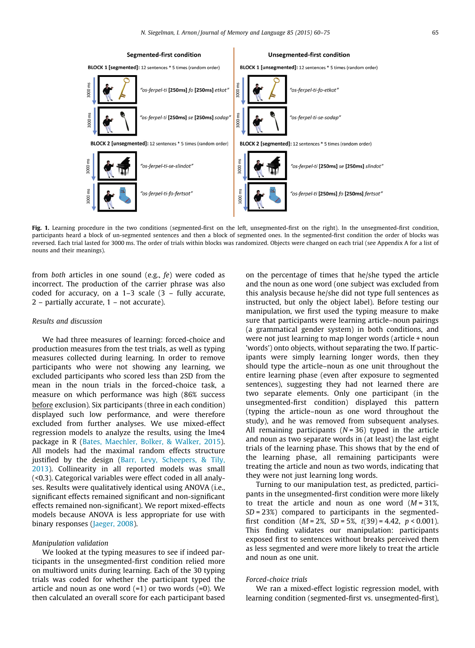<span id="page-5-0"></span>

Fig. 1. Learning procedure in the two conditions (segmented-first on the left, unsegmented-first on the right). In the unsegmented-first condition, participants heard a block of un-segmented sentences and then a block of segmented ones. In the segmented-first condition the order of blocks was reversed. Each trial lasted for 3000 ms. The order of trials within blocks was randomized. Objects were changed on each trial (see Appendix A for a list of nouns and their meanings).

from both articles in one sound (e.g., fe) were coded as incorrect. The production of the carrier phrase was also coded for accuracy, on a 1–3 scale (3 – fully accurate, 2 – partially accurate, 1 – not accurate).

#### Results and discussion

We had three measures of learning: forced-choice and production measures from the test trials, as well as typing measures collected during learning. In order to remove participants who were not showing any learning, we excluded participants who scored less than 2SD from the mean in the noun trials in the forced-choice task, a measure on which performance was high (86% success before exclusion). Six participants (three in each condition) displayed such low performance, and were therefore excluded from further analyses. We use mixed-effect regression models to analyze the results, using the lme4 package in R ([Bates, Maechler, Bolker, & Walker, 2015](#page-14-0)). All models had the maximal random effects structure justified by the design [\(Barr, Levy, Scheepers, & Tily,](#page-14-0) [2013\)](#page-14-0). Collinearity in all reported models was small (<0.3). Categorical variables were effect coded in all analyses. Results were qualitatively identical using ANOVA (i.e., significant effects remained significant and non-significant effects remained non-significant). We report mixed-effects models because ANOVA is less appropriate for use with binary responses ([Jaeger, 2008](#page-14-0)).

#### Manipulation validation

We looked at the typing measures to see if indeed participants in the unsegmented-first condition relied more on multiword units during learning. Each of the 30 typing trials was coded for whether the participant typed the article and noun as one word  $(=1)$  or two words  $(=0)$ . We then calculated an overall score for each participant based

on the percentage of times that he/she typed the article and the noun as one word (one subject was excluded from this analysis because he/she did not type full sentences as instructed, but only the object label). Before testing our manipulation, we first used the typing measure to make sure that participants were learning article–noun pairings (a grammatical gender system) in both conditions, and were not just learning to map longer words (article + noun 'words') onto objects, without separating the two. If participants were simply learning longer words, then they should type the article–noun as one unit throughout the entire learning phase (even after exposure to segmented sentences), suggesting they had not learned there are two separate elements. Only one participant (in the unsegmented-first condition) displayed this pattern (typing the article–noun as one word throughout the study), and he was removed from subsequent analyses. All remaining participants ( $N = 36$ ) typed in the article and noun as two separate words in (at least) the last eight trials of the learning phase. This shows that by the end of the learning phase, all remaining participants were treating the article and noun as two words, indicating that they were not just learning long words.

Turning to our manipulation test, as predicted, participants in the unsegmented-first condition were more likely to treat the article and noun as one word  $(M = 31\%)$  $SD = 23\%)$  compared to participants in the segmentedfirst condition  $(M = 2\%, SD = 5\%, t(39) = 4.42, p < 0.001)$ . This finding validates our manipulation: participants exposed first to sentences without breaks perceived them as less segmented and were more likely to treat the article and noun as one unit.

#### Forced-choice trials

We ran a mixed-effect logistic regression model, with learning condition (segmented-first vs. unsegmented-first),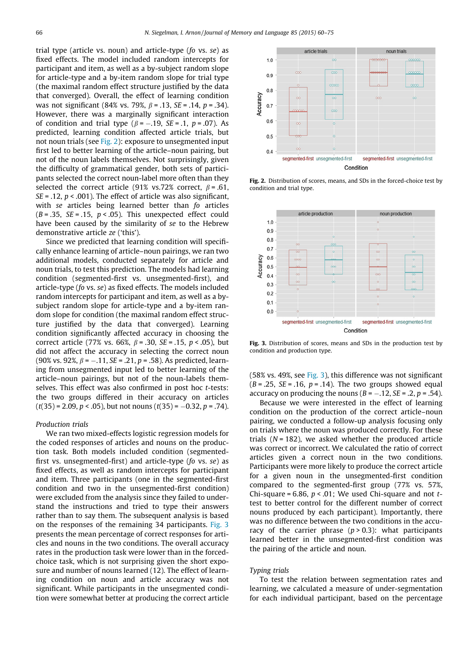trial type (article vs. noun) and article-type (fo vs. se) as fixed effects. The model included random intercepts for participant and item, as well as a by-subject random slope for article-type and a by-item random slope for trial type (the maximal random effect structure justified by the data that converged). Overall, the effect of learning condition was not significant (84% vs. 79%,  $\beta$  = .13, SE = .14, p = .34). However, there was a marginally significant interaction of condition and trial type ( $\beta$  = -.19, SE = .1, p = .07). As predicted, learning condition affected article trials, but not noun trials (see Fig. 2): exposure to unsegmented input first led to better learning of the article–noun pairing, but not of the noun labels themselves. Not surprisingly, given the difficulty of grammatical gender, both sets of participants selected the correct noun-label more often than they selected the correct article (91% vs.72% correct,  $\beta$  = .61,  $SE = .12$ ,  $p < .001$ ). The effect of article was also significant, with se articles being learned better than fo articles  $(B = .35, SE = .15, p < .05)$ . This unexpected effect could have been caused by the similarity of se to the Hebrew demonstrative article ze ('this').

Since we predicted that learning condition will specifically enhance learning of article–noun pairings, we ran two additional models, conducted separately for article and noun trials, to test this prediction. The models had learning condition (segmented-first vs. unsegmented-first), and article-type (fo vs. se) as fixed effects. The models included random intercepts for participant and item, as well as a bysubject random slope for article-type and a by-item random slope for condition (the maximal random effect structure justified by the data that converged). Learning condition significantly affected accuracy in choosing the correct article (77% vs. 66%,  $\beta$  = .30, SE = .15, p < .05), but did not affect the accuracy in selecting the correct noun (90% vs. 92%,  $\beta = -.11$ ,  $SE = .21$ ,  $p = .58$ ). As predicted, learning from unsegmented input led to better learning of the article–noun pairings, but not of the noun-labels themselves. This effect was also confirmed in post hoc t-tests: the two groups differed in their accuracy on articles  $(t(35) = 2.09, p < .05)$ , but not nouns  $(t(35) = -0.32, p = .74)$ .

### Production trials

We ran two mixed-effects logistic regression models for the coded responses of articles and nouns on the production task. Both models included condition (segmentedfirst vs. unsegmented-first) and article-type (fo vs. se) as fixed effects, as well as random intercepts for participant and item. Three participants (one in the segmented-first condition and two in the unsegmented-first condition) were excluded from the analysis since they failed to understand the instructions and tried to type their answers rather than to say them. The subsequent analysis is based on the responses of the remaining 34 participants. Fig. 3 presents the mean percentage of correct responses for articles and nouns in the two conditions. The overall accuracy rates in the production task were lower than in the forcedchoice task, which is not surprising given the short exposure and number of nouns learned (12). The effect of learning condition on noun and article accuracy was not significant. While participants in the unsegmented condition were somewhat better at producing the correct article



Fig. 2. Distribution of scores, means, and SDs in the forced-choice test by condition and trial type.



Fig. 3. Distribution of scores, means and SDs in the production test by condition and production type.

 $(58\% \text{ vs. } 49\%, \text{ see Fig. 3})$ , this difference was not significant  $(B=.25, SE=.16, p=.14)$ . The two groups showed equal accuracy on producing the nouns ( $B = -.12$ ,  $SE = .2$ ,  $p = .54$ ).

Because we were interested in the effect of learning condition on the production of the correct article–noun pairing, we conducted a follow-up analysis focusing only on trials where the noun was produced correctly. For these trials ( $N = 182$ ), we asked whether the produced article was correct or incorrect. We calculated the ratio of correct articles given a correct noun in the two conditions. Participants were more likely to produce the correct article for a given noun in the unsegmented-first condition compared to the segmented-first group (77% vs. 57%, Chi-square =  $6.86$ ,  $p < .01$ ; We used Chi-square and not ttest to better control for the different number of correct nouns produced by each participant). Importantly, there was no difference between the two conditions in the accuracy of the carrier phrase  $(p > 0.3)$ : what participants learned better in the unsegmented-first condition was the pairing of the article and noun.

# Typing trials

To test the relation between segmentation rates and learning, we calculated a measure of under-segmentation for each individual participant, based on the percentage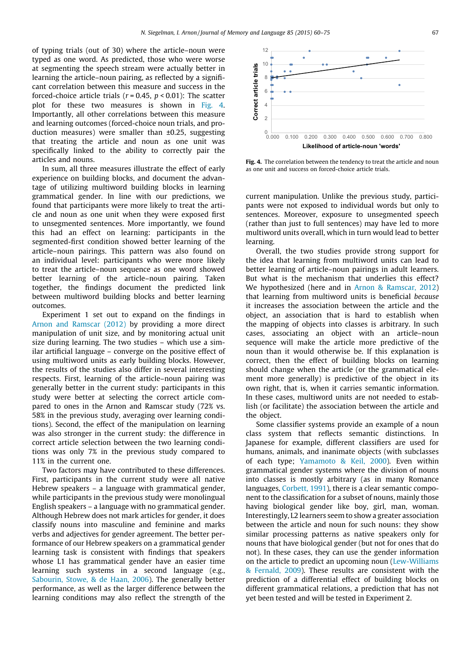of typing trials (out of 30) where the article–noun were typed as one word. As predicted, those who were worse at segmenting the speech stream were actually better in learning the article–noun pairing, as reflected by a significant correlation between this measure and success in the forced-choice article trials ( $r = 0.45$ ,  $p < 0.01$ ): The scatter plot for these two measures is shown in Fig. 4. Importantly, all other correlations between this measure and learning outcomes (forced-choice noun trials, and production measures) were smaller than ±0.25, suggesting that treating the article and noun as one unit was specifically linked to the ability to correctly pair the articles and nouns.

In sum, all three measures illustrate the effect of early experience on building blocks, and document the advantage of utilizing multiword building blocks in learning grammatical gender. In line with our predictions, we found that participants were more likely to treat the article and noun as one unit when they were exposed first to unsegmented sentences. More importantly, we found this had an effect on learning: participants in the segmented-first condition showed better learning of the article–noun pairings. This pattern was also found on an individual level: participants who were more likely to treat the article–noun sequence as one word showed better learning of the article–noun pairing. Taken together, the findings document the predicted link between multiword building blocks and better learning outcomes.

Experiment 1 set out to expand on the findings in [Arnon and Ramscar \(2012\)](#page-14-0) by providing a more direct manipulation of unit size, and by monitoring actual unit size during learning. The two studies – which use a similar artificial language – converge on the positive effect of using multiword units as early building blocks. However, the results of the studies also differ in several interesting respects. First, learning of the article–noun pairing was generally better in the current study: participants in this study were better at selecting the correct article compared to ones in the Arnon and Ramscar study (72% vs. 58% in the previous study, averaging over learning conditions). Second, the effect of the manipulation on learning was also stronger in the current study: the difference in correct article selection between the two learning conditions was only 7% in the previous study compared to 11% in the current one.

Two factors may have contributed to these differences. First, participants in the current study were all native Hebrew speakers – a language with grammatical gender, while participants in the previous study were monolingual English speakers – a language with no grammatical gender. Although Hebrew does not mark articles for gender, it does classify nouns into masculine and feminine and marks verbs and adjectives for gender agreement. The better performance of our Hebrew speakers on a grammatical gender learning task is consistent with findings that speakers whose L1 has grammatical gender have an easier time learning such systems in a second language (e.g., [Sabourin, Stowe, & de Haan, 2006\)](#page-15-0). The generally better performance, as well as the larger difference between the learning conditions may also reflect the strength of the



Fig. 4. The correlation between the tendency to treat the article and noun as one unit and success on forced-choice article trials.

current manipulation. Unlike the previous study, participants were not exposed to individual words but only to sentences. Moreover, exposure to unsegmented speech (rather than just to full sentences) may have led to more multiword units overall, which in turn would lead to better learning.

Overall, the two studies provide strong support for the idea that learning from multiword units can lead to better learning of article–noun pairings in adult learners. But what is the mechanism that underlies this effect? We hypothesized (here and in [Arnon & Ramscar, 2012](#page-14-0)) that learning from multiword units is beneficial because it increases the association between the article and the object, an association that is hard to establish when the mapping of objects into classes is arbitrary. In such cases, associating an object with an article–noun sequence will make the article more predictive of the noun than it would otherwise be. If this explanation is correct, then the effect of building blocks on learning should change when the article (or the grammatical element more generally) is predictive of the object in its own right, that is, when it carries semantic information. In these cases, multiword units are not needed to establish (or facilitate) the association between the article and the object.

Some classifier systems provide an example of a noun class system that reflects semantic distinctions. In Japanese for example, different classifiers are used for humans, animals, and inanimate objects (with subclasses of each type; [Yamamoto & Keil, 2000](#page-15-0)). Even within grammatical gender systems where the division of nouns into classes is mostly arbitrary (as in many Romance languages, [Corbett, 1991](#page-14-0)), there is a clear semantic component to the classification for a subset of nouns, mainly those having biological gender like boy, girl, man, woman. Interestingly, L2 learners seem to show a greater association between the article and noun for such nouns: they show similar processing patterns as native speakers only for nouns that have biological gender (but not for ones that do not). In these cases, they can use the gender information on the article to predict an upcoming noun ([Lew-Williams](#page-14-0) [& Fernald, 2009](#page-14-0)). These results are consistent with the prediction of a differential effect of building blocks on different grammatical relations, a prediction that has not yet been tested and will be tested in Experiment 2.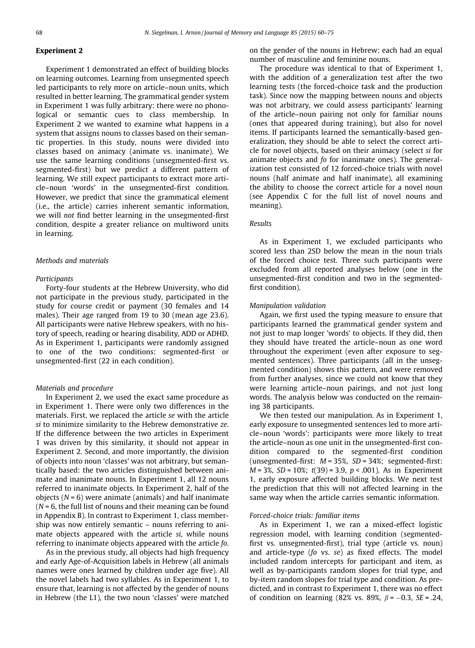# Experiment 2

Experiment 1 demonstrated an effect of building blocks on learning outcomes. Learning from unsegmented speech led participants to rely more on article–noun units, which resulted in better learning. The grammatical gender system in Experiment 1 was fully arbitrary: there were no phonological or semantic cues to class membership. In Experiment 2 we wanted to examine what happens in a system that assigns nouns to classes based on their semantic properties. In this study, nouns were divided into classes based on animacy (animate vs. inanimate). We use the same learning conditions (unsegmented-first vs. segmented-first) but we predict a different pattern of learning. We still expect participants to extract more article–noun 'words' in the unsegmented-first condition. However, we predict that since the grammatical element (i.e., the article) carries inherent semantic information, we will not find better learning in the unsegmented-first condition, despite a greater reliance on multiword units in learning.

#### Methods and materials

#### Participants

Forty-four students at the Hebrew University, who did not participate in the previous study, participated in the study for course credit or payment (30 females and 14 males). Their age ranged from 19 to 30 (mean age 23.6). All participants were native Hebrew speakers, with no history of speech, reading or hearing disability, ADD or ADHD. As in Experiment 1, participants were randomly assigned to one of the two conditions: segmented-first or unsegmented-first (22 in each condition).

#### Materials and procedure

In Experiment 2, we used the exact same procedure as in Experiment 1. There were only two differences in the materials. First, we replaced the article se with the article si to minimize similarity to the Hebrew demonstrative ze. If the difference between the two articles in Experiment 1 was driven by this similarity, it should not appear in Experiment 2. Second, and more importantly, the division of objects into noun 'classes' was not arbitrary, but semantically based: the two articles distinguished between animate and inanimate nouns. In Experiment 1, all 12 nouns referred to inanimate objects. In Experiment 2, half of the objects  $(N = 6)$  were animate (animals) and half inanimate  $(N = 6$ , the full list of nouns and their meaning can be found in Appendix B). In contrast to Experiment 1, class membership was now entirely semantic – nouns referring to animate objects appeared with the article si, while nouns referring to inanimate objects appeared with the article fo.

As in the previous study, all objects had high frequency and early Age-of-Acquisition labels in Hebrew (all animals names were ones learned by children under age five). All the novel labels had two syllables. As in Experiment 1, to ensure that, learning is not affected by the gender of nouns in Hebrew (the L1), the two noun 'classes' were matched on the gender of the nouns in Hebrew: each had an equal number of masculine and feminine nouns.

The procedure was identical to that of Experiment 1, with the addition of a generalization test after the two learning tests (the forced-choice task and the production task). Since now the mapping between nouns and objects was not arbitrary, we could assess participants' learning of the article–noun pairing not only for familiar nouns (ones that appeared during training), but also for novel items. If participants learned the semantically-based generalization, they should be able to select the correct article for novel objects, based on their animacy (select si for animate objects and fo for inanimate ones). The generalization test consisted of 12 forced-choice trials with novel nouns (half animate and half inanimate), all examining the ability to choose the correct article for a novel noun (see Appendix C for the full list of novel nouns and meaning).

# Results

As in Experiment 1, we excluded participants who scored less than 2SD below the mean in the noun trials of the forced choice test. Three such participants were excluded from all reported analyses below (one in the unsegmented-first condition and two in the segmentedfirst condition).

#### Manipulation validation

Again, we first used the typing measure to ensure that participants learned the grammatical gender system and not just to map longer 'words' to objects. If they did, then they should have treated the article–noun as one word throughout the experiment (even after exposure to segmented sentences). Three participants (all in the unsegmented condition) shows this pattern, and were removed from further analyses, since we could not know that they were learning article–noun pairings, and not just long words. The analysis below was conducted on the remaining 38 participants.

We then tested our manipulation. As in Experiment 1, early exposure to unsegmented sentences led to more article–noun 'words': participants were more likely to treat the article–noun as one unit in the unsegmented-first condition compared to the segmented-first condition (unsegmented-first:  $M = 35\%$ ,  $SD = 34\%$ ; segmented-first:  $M = 3\%$ ,  $SD = 10\%$ ;  $t(39) = 3.9$ ,  $p < .001$ ). As in Experiment 1, early exposure affected building blocks. We next test the prediction that this will not affected learning in the same way when the article carries semantic information.

#### Forced-choice trials: familiar items

As in Experiment 1, we ran a mixed-effect logistic regression model, with learning condition (segmentedfirst vs. unsegmented-first), trial type (article vs. noun) and article-type (fo vs. se) as fixed effects. The model included random intercepts for participant and item, as well as by-participants random slopes for trial type, and by-item random slopes for trial type and condition. As predicted, and in contrast to Experiment 1, there was no effect of condition on learning (82% vs. 89%,  $\beta = -0.3$ , SE = .24,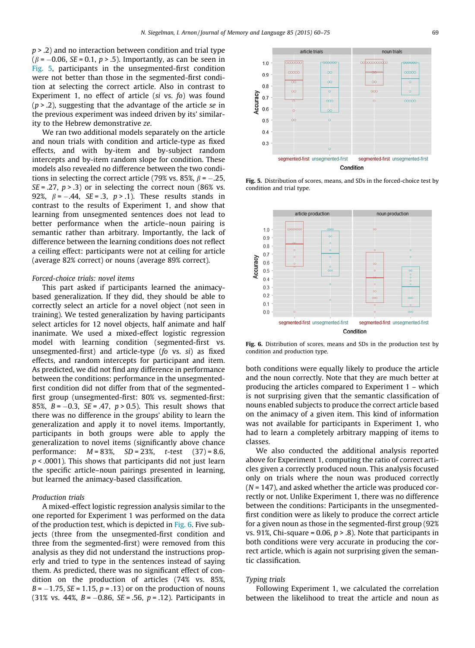$p > 0.2$ ) and no interaction between condition and trial type  $(\beta = -0.06, \text{ SE} = 0.1, p > .5)$ . Importantly, as can be seen in Fig. 5, participants in the unsegmented-first condition were not better than those in the segmented-first condition at selecting the correct article. Also in contrast to Experiment 1, no effect of article (si vs. fo) was found  $(p > .2)$ , suggesting that the advantage of the article se in the previous experiment was indeed driven by its' similarity to the Hebrew demonstrative ze.

We ran two additional models separately on the article and noun trials with condition and article-type as fixed effects, and with by-item and by-subject random intercepts and by-item random slope for condition. These models also revealed no difference between the two conditions in selecting the correct article (79% vs. 85%,  $\beta$  = -.25,  $SE = .27$ ,  $p > .3$ ) or in selecting the correct noun (86% vs. 92%,  $\beta = -.44$ ,  $SE = .3$ ,  $p > .1$ ). These results stands in contrast to the results of Experiment 1, and show that learning from unsegmented sentences does not lead to better performance when the article–noun pairing is semantic rather than arbitrary. Importantly, the lack of difference between the learning conditions does not reflect a ceiling effect: participants were not at ceiling for article (average 82% correct) or nouns (average 89% correct).

### Forced-choice trials: novel items

This part asked if participants learned the animacybased generalization. If they did, they should be able to correctly select an article for a novel object (not seen in training). We tested generalization by having participants select articles for 12 novel objects, half animate and half inanimate. We used a mixed-effect logistic regression model with learning condition (segmented-first vs. unsegmented-first) and article-type (fo vs. si) as fixed effects, and random intercepts for participant and item. As predicted, we did not find any difference in performance between the conditions: performance in the unsegmentedfirst condition did not differ from that of the segmentedfirst group (unsegmented-first: 80% vs. segmented-first: 85%,  $B = -0.3$ ,  $SE = .47$ ,  $p > 0.5$ ). This result shows that there was no difference in the groups' ability to learn the generalization and apply it to novel items. Importantly, participants in both groups were able to apply the generalization to novel items (significantly above chance performance:  $M = 83\%, SD = 23\%, t-test (37) = 8.6,$  $p < .0001$ ). This shows that participants did not just learn the specific article–noun pairings presented in learning, but learned the animacy-based classification.

#### Production trials

A mixed-effect logistic regression analysis similar to the one reported for Experiment 1 was performed on the data of the production test, which is depicted in Fig. 6. Five subjects (three from the unsegmented-first condition and three from the segmented-first) were removed from this analysis as they did not understand the instructions properly and tried to type in the sentences instead of saying them. As predicted, there was no significant effect of condition on the production of articles (74% vs. 85%,  $B = -1.75$ ,  $SE = 1.15$ ,  $p = .13$  or on the production of nouns (31% vs. 44%,  $B = -0.86$ ,  $SE = .56$ ,  $p = .12$ ). Participants in



Fig. 5. Distribution of scores, means, and SDs in the forced-choice test by condition and trial type.



Fig. 6. Distribution of scores, means and SDs in the production test by condition and production type.

both conditions were equally likely to produce the article and the noun correctly. Note that they are much better at producing the articles compared to Experiment 1 – which is not surprising given that the semantic classification of nouns enabled subjects to produce the correct article based on the animacy of a given item. This kind of information was not available for participants in Experiment 1, who had to learn a completely arbitrary mapping of items to classes.

We also conducted the additional analysis reported above for Experiment 1, computing the ratio of correct articles given a correctly produced noun. This analysis focused only on trials where the noun was produced correctly  $(N = 147)$ , and asked whether the article was produced correctly or not. Unlike Experiment 1, there was no difference between the conditions: Participants in the unsegmentedfirst condition were as likely to produce the correct article for a given noun as those in the segmented-first group (92% vs. 91%, Chi-square = 0.06,  $p > 0.8$ ). Note that participants in both conditions were very accurate in producing the correct article, which is again not surprising given the semantic classification.

#### Typing trials

Following Experiment 1, we calculated the correlation between the likelihood to treat the article and noun as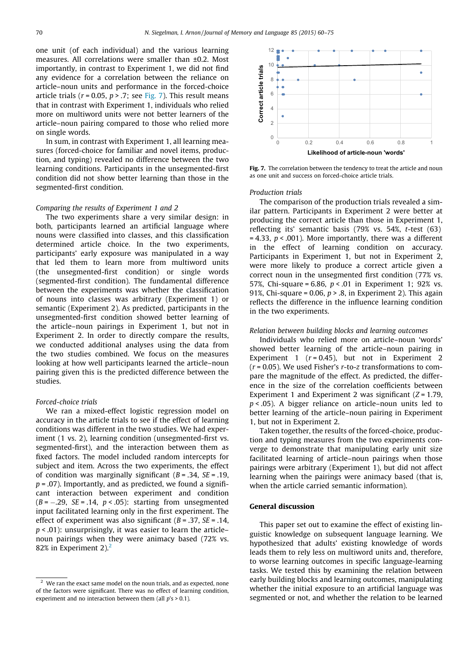one unit (of each individual) and the various learning measures. All correlations were smaller than ±0.2. Most importantly, in contrast to Experiment 1, we did not find any evidence for a correlation between the reliance on article–noun units and performance in the forced-choice article trials ( $r = 0.05$ ,  $p > .7$ ; see Fig. 7). This result means that in contrast with Experiment 1, individuals who relied more on multiword units were not better learners of the article–noun pairing compared to those who relied more on single words.

In sum, in contrast with Experiment 1, all learning measures (forced-choice for familiar and novel items, production, and typing) revealed no difference between the two learning conditions. Participants in the unsegmented-first condition did not show better learning than those in the segmented-first condition.

# Comparing the results of Experiment 1 and 2

The two experiments share a very similar design: in both, participants learned an artificial language where nouns were classified into classes, and this classification determined article choice. In the two experiments, participants' early exposure was manipulated in a way that led them to learn more from multiword units (the unsegmented-first condition) or single words (segmented-first condition). The fundamental difference between the experiments was whether the classification of nouns into classes was arbitrary (Experiment 1) or semantic (Experiment 2). As predicted, participants in the unsegmented-first condition showed better learning of the article–noun pairings in Experiment 1, but not in Experiment 2. In order to directly compare the results, we conducted additional analyses using the data from the two studies combined. We focus on the measures looking at how well participants learned the article–noun pairing given this is the predicted difference between the studies.

#### Forced-choice trials

We ran a mixed-effect logistic regression model on accuracy in the article trials to see if the effect of learning conditions was different in the two studies. We had experiment (1 vs. 2), learning condition (unsegmented-first vs. segmented-first), and the interaction between them as fixed factors. The model included random intercepts for subject and item. Across the two experiments, the effect of condition was marginally significant  $(B = .34, SE = .19,$  $p = .07$ ). Importantly, and as predicted, we found a significant interaction between experiment and condition  $(B = -.29, SE = .14, p < .05)$ : starting from unsegmented input facilitated learning only in the first experiment. The effect of experiment was also significant  $(B = .37, SE = .14,$  $p < .01$ ): unsurprisingly, it was easier to learn the article– noun pairings when they were animacy based (72% vs. 82% in Experiment 2). $<sup>2</sup>$ </sup>



Fig. 7. The correlation between the tendency to treat the article and noun as one unit and success on forced-choice article trials.

#### Production trials

The comparison of the production trials revealed a similar pattern. Participants in Experiment 2 were better at producing the correct article than those in Experiment 1, reflecting its' semantic basis (79% vs. 54%, t-test (63)  $= 4.33$ ,  $p < .001$ ). More importantly, there was a different in the effect of learning condition on accuracy. Participants in Experiment 1, but not in Experiment 2, were more likely to produce a correct article given a correct noun in the unsegmented first condition (77% vs. 57%, Chi-square = 6.86,  $p < .01$  in Experiment 1; 92% vs. 91%, Chi-square = 0.06,  $p > 0.8$ , in Experiment 2). This again reflects the difference in the influence learning condition in the two experiments.

#### Relation between building blocks and learning outcomes

Individuals who relied more on article–noun 'words' showed better learning of the article–noun pairing in Experiment 1 ( $r = 0.45$ ), but not in Experiment 2  $(r = 0.05)$ . We used Fisher's r-to-z transformations to compare the magnitude of the effect. As predicted, the difference in the size of the correlation coefficients between Experiment 1 and Experiment 2 was significant  $(Z = 1.79$ ,  $p < .05$ ). A bigger reliance on article–noun units led to better learning of the article–noun pairing in Experiment 1, but not in Experiment 2.

Taken together, the results of the forced-choice, production and typing measures from the two experiments converge to demonstrate that manipulating early unit size facilitated learning of article–noun pairings when those pairings were arbitrary (Experiment 1), but did not affect learning when the pairings were animacy based (that is, when the article carried semantic information).

#### General discussion

This paper set out to examine the effect of existing linguistic knowledge on subsequent language learning. We hypothesized that adults' existing knowledge of words leads them to rely less on multiword units and, therefore, to worse learning outcomes in specific language-learning tasks. We tested this by examining the relation between early building blocks and learning outcomes, manipulating whether the initial exposure to an artificial language was segmented or not, and whether the relation to be learned

 $2$  We ran the exact same model on the noun trials, and as expected, none of the factors were significant. There was no effect of learning condition, experiment and no interaction between them (all  $p's > 0.1$ ).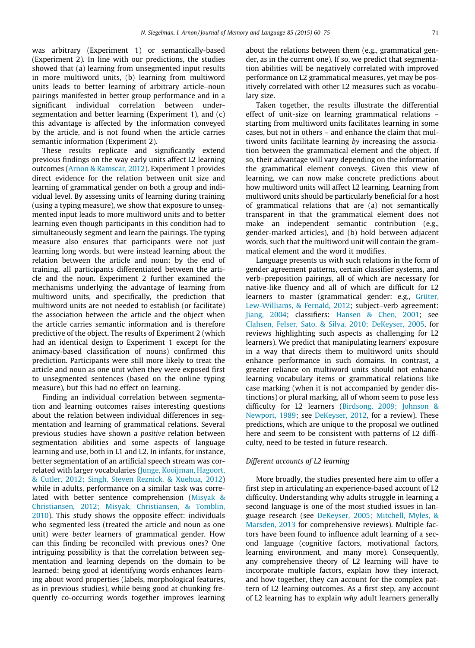was arbitrary (Experiment 1) or semantically-based (Experiment 2). In line with our predictions, the studies showed that (a) learning from unsegmented input results in more multiword units, (b) learning from multiword units leads to better learning of arbitrary article–noun pairings manifested in better group performance and in a significant individual correlation between undersegmentation and better learning (Experiment 1), and (c) this advantage is affected by the information conveyed by the article, and is not found when the article carries semantic information (Experiment 2).

These results replicate and significantly extend previous findings on the way early units affect L2 learning outcomes [\(Arnon & Ramscar, 2012](#page-14-0)). Experiment 1 provides direct evidence for the relation between unit size and learning of grammatical gender on both a group and individual level. By assessing units of learning during training (using a typing measure), we show that exposure to unsegmented input leads to more multiword units and to better learning even though participants in this condition had to simultaneously segment and learn the pairings. The typing measure also ensures that participants were not just learning long words, but were instead learning about the relation between the article and noun: by the end of training, all participants differentiated between the article and the noun. Experiment 2 further examined the mechanisms underlying the advantage of learning from multiword units, and specifically, the prediction that multiword units are not needed to establish (or facilitate) the association between the article and the object when the article carries semantic information and is therefore predictive of the object. The results of Experiment 2 (which had an identical design to Experiment 1 except for the animacy-based classification of nouns) confirmed this prediction. Participants were still more likely to treat the article and noun as one unit when they were exposed first to unsegmented sentences (based on the online typing measure), but this had no effect on learning.

Finding an individual correlation between segmentation and learning outcomes raises interesting questions about the relation between individual differences in segmentation and learning of grammatical relations. Several previous studies have shown a positive relation between segmentation abilities and some aspects of language learning and use, both in L1 and L2. In infants, for instance, better segmentation of an artificial speech stream was correlated with larger vocabularies ([Junge, Kooijman, Hagoort,](#page-14-0) [& Cutler, 2012; Singh, Steven Reznick, & Xuehua, 2012](#page-14-0)) while in adults, performance on a similar task was correlated with better sentence comprehension [\(Misyak &](#page-15-0) [Christiansen, 2012; Misyak, Christiansen, & Tomblin,](#page-15-0) [2010\)](#page-15-0). This study shows the opposite effect: individuals who segmented less (treated the article and noun as one unit) were better learners of grammatical gender. How can this finding be reconciled with previous ones? One intriguing possibility is that the correlation between segmentation and learning depends on the domain to be learned: being good at identifying words enhances learning about word properties (labels, morphological features, as in previous studies), while being good at chunking frequently co-occurring words together improves learning about the relations between them (e.g., grammatical gender, as in the current one). If so, we predict that segmentation abilities will be negatively correlated with improved performance on L2 grammatical measures, yet may be positively correlated with other L2 measures such as vocabulary size.

Taken together, the results illustrate the differential effect of unit-size on learning grammatical relations – starting from multiword units facilitates learning in some cases, but not in others – and enhance the claim that multiword units facilitate learning by increasing the association between the grammatical element and the object. If so, their advantage will vary depending on the information the grammatical element conveys. Given this view of learning, we can now make concrete predictions about how multiword units will affect L2 learning. Learning from multiword units should be particularly beneficial for a host of grammatical relations that are (a) not semantically transparent in that the grammatical element does not make an independent semantic contribution (e.g., gender-marked articles), and (b) hold between adjacent words, such that the multiword unit will contain the grammatical element and the word it modifies.

Language presents us with such relations in the form of gender agreement patterns, certain classifier systems, and verb–preposition pairings, all of which are necessary for native-like fluency and all of which are difficult for L2 learners to master (grammatical gender: e.g., [Grüter,](#page-14-0) [Lew-Williams, & Fernald, 2012](#page-14-0); subject–verb agreement: [Jiang, 2004;](#page-14-0) classifiers: [Hansen & Chen, 2001;](#page-14-0) see [Clahsen, Felser, Sato, & Silva, 2010; DeKeyser, 2005,](#page-14-0) for reviews highlighting such aspects as challenging for L2 learners). We predict that manipulating learners' exposure in a way that directs them to multiword units should enhance performance in such domains. In contrast, a greater reliance on multiword units should not enhance learning vocabulary items or grammatical relations like case marking (when it is not accompanied by gender distinctions) or plural marking, all of whom seem to pose less difficulty for L2 learners ([Birdsong, 2009; Johnson &](#page-14-0) [Newport, 1989](#page-14-0); see [DeKeyser, 2012,](#page-14-0) for a review). These predictions, which are unique to the proposal we outlined here and seem to be consistent with patterns of L2 difficulty, need to be tested in future research.

#### Different accounts of L2 learning

More broadly, the studies presented here aim to offer a first step in articulating an experience-based account of L2 difficulty. Understanding why adults struggle in learning a second language is one of the most studied issues in language research (see [DeKeyser, 2005; Mitchell, Myles, &](#page-14-0) [Marsden, 2013](#page-14-0) for comprehensive reviews). Multiple factors have been found to influence adult learning of a second language (cognitive factors, motivational factors, learning environment, and many more). Consequently, any comprehensive theory of L2 learning will have to incorporate multiple factors, explain how they interact, and how together, they can account for the complex pattern of L2 learning outcomes. As a first step, any account of L2 learning has to explain why adult learners generally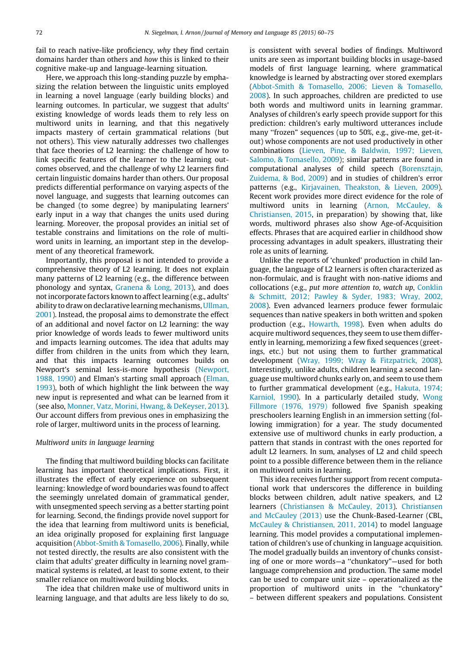fail to reach native-like proficiency, why they find certain domains harder than others and how this is linked to their cognitive make-up and language-learning situation.

Here, we approach this long-standing puzzle by emphasizing the relation between the linguistic units employed in learning a novel language (early building blocks) and learning outcomes. In particular, we suggest that adults' existing knowledge of words leads them to rely less on multiword units in learning, and that this negatively impacts mastery of certain grammatical relations (but not others). This view naturally addresses two challenges that face theories of L2 learning: the challenge of how to link specific features of the learner to the learning outcomes observed, and the challenge of why L2 learners find certain linguistic domains harder than others. Our proposal predicts differential performance on varying aspects of the novel language, and suggests that learning outcomes can be changed (to some degree) by manipulating learners' early input in a way that changes the units used during learning. Moreover, the proposal provides an initial set of testable constrains and limitations on the role of multiword units in learning, an important step in the development of any theoretical framework.

Importantly, this proposal is not intended to provide a comprehensive theory of L2 learning. It does not explain many patterns of L2 learning (e.g., the difference between phonology and syntax, [Granena & Long, 2013](#page-14-0)), and does not incorporate factors known to affect learning (e.g., adults' ability to draw on declarative learning mechanisms, [Ullman,](#page-15-0) [2001](#page-15-0)). Instead, the proposal aims to demonstrate the effect of an additional and novel factor on L2 learning: the way prior knowledge of words leads to fewer multiword units and impacts learning outcomes. The idea that adults may differ from children in the units from which they learn, and that this impacts learning outcomes builds on Newport's seminal less-is-more hypothesis [\(Newport,](#page-15-0) [1988, 1990](#page-15-0)) and Elman's starting small approach ([Elman,](#page-14-0) [1993](#page-14-0)), both of which highlight the link between the way new input is represented and what can be learned from it (see also, [Monner, Vatz, Morini, Hwang, & DeKeyser, 2013](#page-15-0)). Our account differs from previous ones in emphasizing the role of larger, multiword units in the process of learning.

# Multiword units in language learning

The finding that multiword building blocks can facilitate learning has important theoretical implications. First, it illustrates the effect of early experience on subsequent learning: knowledge of word boundaries was found to affect the seemingly unrelated domain of grammatical gender, with unsegmented speech serving as a better starting point for learning. Second, the findings provide novel support for the idea that learning from multiword units is beneficial, an idea originally proposed for explaining first language acquisition [\(Abbot-Smith & Tomasello, 2006\)](#page-14-0). Finally, while not tested directly, the results are also consistent with the claim that adults' greater difficulty in learning novel grammatical systems is related, at least to some extent, to their smaller reliance on multiword building blocks.

The idea that children make use of multiword units in learning language, and that adults are less likely to do so, is consistent with several bodies of findings. Multiword units are seen as important building blocks in usage-based models of first language learning, where grammatical knowledge is learned by abstracting over stored exemplars [\(Abbot-Smith & Tomasello, 2006; Lieven & Tomasello,](#page-14-0) [2008](#page-14-0)). In such approaches, children are predicted to use both words and multiword units in learning grammar. Analyses of children's early speech provide support for this prediction: children's early multiword utterances include many ''frozen" sequences (up to 50%, e.g., give-me, get-itout) whose components are not used productively in other combinations [\(Lieven, Pine, & Baldwin, 1997; Lieven,](#page-15-0) [Salomo, & Tomasello, 2009\)](#page-15-0); similar patterns are found in computational analyses of child speech [\(Borensztajn,](#page-14-0) [Zuidema, & Bod, 2009](#page-14-0)) and in studies of children's error patterns (e.g., [Kirjavainen, Theakston, & Lieven, 2009](#page-14-0)). Recent work provides more direct evidence for the role of multiword units in learning ([Arnon, McCauley, &](#page-14-0) [Christiansen, 2015,](#page-14-0) in preparation) by showing that, like words, multiword phrases also show Age-of-Acquisition effects. Phrases that are acquired earlier in childhood show processing advantages in adult speakers, illustrating their role as units of learning.

Unlike the reports of 'chunked' production in child language, the language of L2 learners is often characterized as non-formulaic, and is fraught with non-native idioms and collocations (e.g., put more attention to, watch up, [Conklin](#page-14-0) [& Schmitt, 2012; Pawley & Syder, 1983; Wray, 2002,](#page-14-0) [2008](#page-14-0)). Even advanced learners produce fewer formulaic sequences than native speakers in both written and spoken production (e.g., [Howarth, 1998\)](#page-14-0). Even when adults do acquire multiword sequences, they seem to use them differently in learning, memorizing a few fixed sequences (greetings, etc.) but not using them to further grammatical development [\(Wray, 1999; Wray & Fitzpatrick, 2008](#page-15-0)). Interestingly, unlike adults, children learning a second language use multiword chunks early on, and seem to use them to further grammatical development (e.g., [Hakuta, 1974;](#page-14-0) [Karniol, 1990\)](#page-14-0). In a particularly detailed study, [Wong](#page-15-0) [Fillmore \(1976, 1979\)](#page-15-0) followed five Spanish speaking preschoolers learning English in an immersion setting (following immigration) for a year. The study documented extensive use of multiword chunks in early production, a pattern that stands in contrast with the ones reported for adult L2 learners. In sum, analyses of L2 and child speech point to a possible difference between them in the reliance on multiword units in learning.

This idea receives further support from recent computational work that underscores the difference in building blocks between children, adult native speakers, and L2 learners ([Christiansen & McCauley, 2013](#page-14-0)). [Christiansen](#page-14-0) [and McCauley \(2013\)](#page-14-0) use the Chunk-Based-Learner (CBL, [McCauley & Christiansen, 2011, 2014\)](#page-15-0) to model language learning. This model provides a computational implementation of children's use of chunking in language acquisition. The model gradually builds an inventory of chunks consisting of one or more words—a ''chunkatory"—used for both language comprehension and production. The same model can be used to compare unit size – operationalized as the proportion of multiword units in the ''chunkatory" – between different speakers and populations. Consistent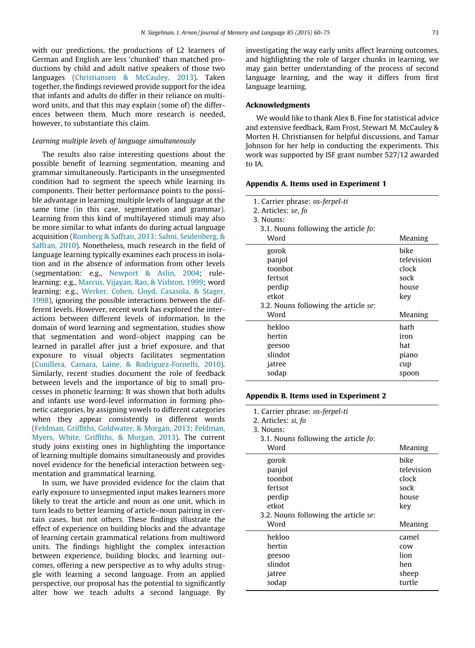with our predictions, the productions of L2 learners of German and English are less 'chunked' than matched productions by child and adult native speakers of those two languages [\(Christiansen & McCauley, 2013](#page-14-0)). Taken together, the findings reviewed provide support for the idea that infants and adults do differ in their reliance on multiword units, and that this may explain (some of) the differences between them. Much more research is needed, however, to substantiate this claim.

#### Learning multiple levels of language simultaneously

The results also raise interesting questions about the possible benefit of learning segmentation, meaning and grammar simultaneously. Participants in the unsegmented condition had to segment the speech while learning its components. Their better performance points to the possible advantage in learning multiple levels of language at the same time (in this case, segmentation and grammar). Learning from this kind of multilayered stimuli may also be more similar to what infants do during actual language acquisition ([Romberg & Saffran, 2013; Sahni, Seidenberg, &](#page-15-0) [Saffran, 2010](#page-15-0)). Nonetheless, much research in the field of language learning typically examines each process in isolation and in the absence of information from other levels (segmentation: e.g., [Newport & Aslin, 2004;](#page-15-0) rulelearning: e.g., [Marcus, Vijayan, Rao, & Vishton, 1999](#page-15-0); word learning: e.g., [Werker, Cohen, Lloyd, Casasola, & Stager,](#page-15-0) [1998\)](#page-15-0), ignoring the possible interactions between the different levels. However, recent work has explored the interactions between different levels of information. In the domain of word learning and segmentation, studies show that segmentation and word–object mapping can be learned in parallel after just a brief exposure, and that exposure to visual objects facilitates segmentation ([Cunillera, Camara, Laine, & Rodriguez-Fornells, 2010](#page-14-0)). Similarly, recent studies document the role of feedback between levels and the importance of big to small processes in phonetic learning: It was shown that both adults and infants use word-level information in forming phonetic categories, by assigning vowels to different categories when they appear consistently in different words ([Feldman, Griffiths, Goldwater, & Morgan, 2013; Feldman,](#page-14-0) [Myers, White, Griffiths, & Morgan, 2013](#page-14-0)). The current study joins existing ones in highlighting the importance of learning multiple domains simultaneously and provides novel evidence for the beneficial interaction between segmentation and grammatical learning.

In sum, we have provided evidence for the claim that early exposure to unsegmented input makes learners more likely to treat the article and noun as one unit, which in turn leads to better learning of article–noun pairing in certain cases, but not others. These findings illustrate the effect of experience on building blocks and the advantage of learning certain grammatical relations from multiword units. The findings highlight the complex interaction between experience, building blocks, and learning outcomes, offering a new perspective as to why adults struggle with learning a second language. From an applied perspective, our proposal has the potential to significantly alter how we teach adults a second language. By

investigating the way early units affect learning outcomes, and highlighting the role of larger chunks in learning, we may gain better understanding of the process of second language learning, and the way it differs from first language learning.

# Acknowledgments

We would like to thank Alex B. Fine for statistical advice and extensive feedback, Ram Frost, Stewart M. McCauley & Morten H. Christiansen for helpful discussions, and Tamar Johnson for her help in conducting the experiments. This work was supported by ISF grant number 527/12 awarded to IA.

### Appendix A. Items used in Experiment 1

| 1. Carrier phrase: os-ferpel-ti<br>2. Articles: se, fo<br>3. Nouns:<br>3.1. Nouns following the article fo: |                                                     |
|-------------------------------------------------------------------------------------------------------------|-----------------------------------------------------|
| Word                                                                                                        | Meaning                                             |
| gorok<br>panjol<br>toonbot<br>fertsot<br>perdip<br>etkot<br>3.2. Nouns following the article se:            | hike<br>television<br>clock<br>sock<br>house<br>key |
| Word                                                                                                        | Meaning                                             |
| hekloo<br>hertin<br>geesoo<br>slindot<br>jatree<br>sodap                                                    | bath<br>iron<br>hat<br>piano<br>cup<br>spoon        |

### Appendix B. Items used in Experiment 2

1. Carrier phrase: os-ferpel-ti

| 2. Articles: si, fo                  |            |
|--------------------------------------|------------|
| 3. Nouns:                            |            |
| 3.1. Nouns following the article fo: |            |
| Word                                 | Meaning    |
| gorok                                | bike       |
| panjol                               | television |
| toonbot                              | clock      |
| fertsot                              | sock       |
| perdip                               | house      |
| etkot                                | key        |
| 3.2. Nouns following the article se: |            |
| Word                                 | Meaning    |
| hekloo                               | camel      |
| hertin                               | COW        |
| geesoo                               | lion       |
| slindot                              | hen        |
| jatree                               | sheep      |
| sodap                                | turtle     |
|                                      |            |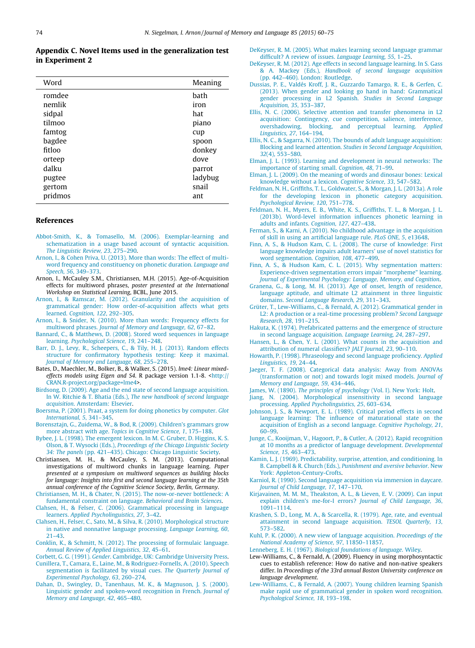### <span id="page-14-0"></span>Appendix C. Novel Items used in the generalization test in Experiment 2

| Word    | Meaning |
|---------|---------|
| romdee  | bath    |
| nemlik  | iron    |
| sidpal  | hat     |
| tilmoo  | piano   |
| famtog  | cup     |
| bagdee  | spoon   |
| fitloo  | donkey  |
| orteep  | dove    |
| dalku   | parrot  |
| pugtee  | ladybug |
| gertom  | snail   |
| pridmos | ant     |

# References

- [Abbot-Smith, K., & Tomasello, M. \(2006\). Exemplar-learning and](http://refhub.elsevier.com/S0749-596X(15)00095-9/h0005) [schematization in a usage based account of syntactic acquisition.](http://refhub.elsevier.com/S0749-596X(15)00095-9/h0005) [The Linguistic Review, 23](http://refhub.elsevier.com/S0749-596X(15)00095-9/h0005), 275–290.
- [Arnon, I., & Cohen Priva, U. \(2013\). More than words: The effect of multi](http://refhub.elsevier.com/S0749-596X(15)00095-9/h0010)[word frequency and constituency on phonetic duration.](http://refhub.elsevier.com/S0749-596X(15)00095-9/h0010) Language and [Speech, 56](http://refhub.elsevier.com/S0749-596X(15)00095-9/h0010), 349–373.
- Arnon, I., McCauley S.M., Christiansen, M.H. (2015). Age-of-Acquisition effects for multiword phrases, poster presented at the International Workshop on Statistical Learning, BCBL, June 2015.
- [Arnon, I., & Ramscar, M. \(2012\). Granularity and the acquisition of](http://refhub.elsevier.com/S0749-596X(15)00095-9/h0015) [grammatical gender: How order-of-acquisition affects what gets](http://refhub.elsevier.com/S0749-596X(15)00095-9/h0015) learned. [Cognition, 122](http://refhub.elsevier.com/S0749-596X(15)00095-9/h0015), 292–305.
- [Arnon, I., & Snider, N. \(2010\). More than words: Frequency effects for](http://refhub.elsevier.com/S0749-596X(15)00095-9/h0020) multiword phrases. [Journal of Memory and Language, 62](http://refhub.elsevier.com/S0749-596X(15)00095-9/h0020), 67–82.
- [Bannard, C., & Matthews, D. \(2008\). Stored word sequences in language](http://refhub.elsevier.com/S0749-596X(15)00095-9/h0025) learning. [Psychological Science, 19](http://refhub.elsevier.com/S0749-596X(15)00095-9/h0025), 241–248.
- [Barr, D. J., Levy, R., Scheepers, C., & Tily, H. J. \(2013\). Random effects](http://refhub.elsevier.com/S0749-596X(15)00095-9/h0030) [structure for confirmatory hypothesis testing: Keep it maximal.](http://refhub.elsevier.com/S0749-596X(15)00095-9/h0030) [Journal of Memory and Language, 68](http://refhub.elsevier.com/S0749-596X(15)00095-9/h0030), 255–278.
- Bates, D., Maechler, M., Bolker, B., & Walker, S. (2015). lme4: Linear mixedeffects models using Eigen and S4. R package version 1.1-8. <[http://](http://CRAN.R-project.org/package=lme4) [CRAN.R-project.org/package=lme4>](http://CRAN.R-project.org/package=lme4).
- [Birdsong, D. \(2009\). Age and the end state of second language acquisition.](http://refhub.elsevier.com/S0749-596X(15)00095-9/h0040) In W. Ritchie & T. Bhatia (Eds.), [The new handbook of second language](http://refhub.elsevier.com/S0749-596X(15)00095-9/h0040) acquisition[. Amsterdam: Elsevier](http://refhub.elsevier.com/S0749-596X(15)00095-9/h0040).
- [Boersma, P. \(2001\). Praat, a system for doing phonetics by computer.](http://refhub.elsevier.com/S0749-596X(15)00095-9/h0045) Glot [International, 5](http://refhub.elsevier.com/S0749-596X(15)00095-9/h0045), 341–345.
- [Borensztajn, G., Zuidema, W., & Bod, R. \(2009\). Children's grammars grow](http://refhub.elsevier.com/S0749-596X(15)00095-9/h0050) more abstract with age. [Topics in Cognitive Science, 1](http://refhub.elsevier.com/S0749-596X(15)00095-9/h0050), 175–188.
- [Bybee, J. L. \(1998\). The emergent lexicon. In M. C. Gruber, D. Higgins, K. S.](http://refhub.elsevier.com/S0749-596X(15)00095-9/h0055) Olson, & T. Wysocki (Eds.), [Proceedings of the Chicago Linguistic Society](http://refhub.elsevier.com/S0749-596X(15)00095-9/h0055) 34: The panels [\(pp. 421–435\). Chicago: Chicago Linguistic Society.](http://refhub.elsevier.com/S0749-596X(15)00095-9/h0055)
- Christiansen, M. H., & McCauley, S. M. (2013). Computational investigations of multiword chunks in language learning. Paper presented at a symposium on multiword sequences as building blocks for language: Insights into first and second language learning at the 35th annual conference of the Cognitive Science Society, Berlin, Germany.
- [Christiansen, M. H., & Chater, N. \(2015\). The now-or-never bottleneck: A](http://refhub.elsevier.com/S0749-596X(15)00095-9/h0065) [fundamental constraint on language.](http://refhub.elsevier.com/S0749-596X(15)00095-9/h0065) Behavioral and Brain Sciences.
- [Clahsen, H., & Felser, C. \(2006\). Grammatical processing in language](http://refhub.elsevier.com/S0749-596X(15)00095-9/h0070) learners. [Applied Psycholinguistics, 27](http://refhub.elsevier.com/S0749-596X(15)00095-9/h0070), 3–42.
- [Clahsen, H., Felser, C., Sato, M., & Silva, R. \(2010\). Morphological structure](http://refhub.elsevier.com/S0749-596X(15)00095-9/h0075) [in native and nonnative language processing.](http://refhub.elsevier.com/S0749-596X(15)00095-9/h0075) Language Learning, 60, [21–43](http://refhub.elsevier.com/S0749-596X(15)00095-9/h0075).
- [Conklin, K., & Schmitt, N. \(2012\). The processing of formulaic language.](http://refhub.elsevier.com/S0749-596X(15)00095-9/h0080) [Annual Review of Applied Linguistics, 32](http://refhub.elsevier.com/S0749-596X(15)00095-9/h0080), 45–61.
- Corbett, G. G. (1991). Gender[. Cambridge, UK: Cambridge University Press.](http://refhub.elsevier.com/S0749-596X(15)00095-9/h0085)
- [Cunillera, T., Camara, E., Laine, M., & Rodriguez-Fornells, A. \(2010\). Speech](http://refhub.elsevier.com/S0749-596X(15)00095-9/h0090) [segmentation is facilitated by visual cues.](http://refhub.elsevier.com/S0749-596X(15)00095-9/h0090) The Quarterly Journal of [Experimental Psychology, 63](http://refhub.elsevier.com/S0749-596X(15)00095-9/h0090), 260–274.
- [Dahan, D., Swingley, D., Tanenhaus, M. K., & Magnuson, J. S. \(2000\).](http://refhub.elsevier.com/S0749-596X(15)00095-9/h0095) [Linguistic gender and spoken-word recognition in French.](http://refhub.elsevier.com/S0749-596X(15)00095-9/h0095) Journal of [Memory and Language, 42](http://refhub.elsevier.com/S0749-596X(15)00095-9/h0095), 465–480.
- [DeKeyser, R. M. \(2005\). What makes learning second language grammar](http://refhub.elsevier.com/S0749-596X(15)00095-9/h0100) [difficult? A review of issues.](http://refhub.elsevier.com/S0749-596X(15)00095-9/h0100) Language Learning, 55, 1–25.
- [DeKeyser, R. M. \(2012\). Age effects in second language learning. In S. Gass](http://refhub.elsevier.com/S0749-596X(15)00095-9/h0105) & A. Mackey (Eds.), [Handbook of second language acquisition](http://refhub.elsevier.com/S0749-596X(15)00095-9/h0105) [\(pp. 442–460\). London: Routledge](http://refhub.elsevier.com/S0749-596X(15)00095-9/h0105).
- [Dussias, P. E., Valdés Kroff, J. R., Guzzardo Tamargo, R. E., & Gerfen, C.](http://refhub.elsevier.com/S0749-596X(15)00095-9/h9000) [\(2013\). When gender and looking go hand in hand: Grammatical](http://refhub.elsevier.com/S0749-596X(15)00095-9/h9000) [gender processing in L2 Spanish.](http://refhub.elsevier.com/S0749-596X(15)00095-9/h9000) Studies in Second Language [Acquisition, 35](http://refhub.elsevier.com/S0749-596X(15)00095-9/h9000), 353–387.
- [Ellis, N. C. \(2006\). Selective attention and transfer phenomena in L2](http://refhub.elsevier.com/S0749-596X(15)00095-9/h0110) [acquisition: Contingency, cue competition, salience, interference,](http://refhub.elsevier.com/S0749-596X(15)00095-9/h0110) [overshadowing, blocking, and perceptual learning.](http://refhub.elsevier.com/S0749-596X(15)00095-9/h0110) Applied [Linguistics, 27](http://refhub.elsevier.com/S0749-596X(15)00095-9/h0110), 164–194.
- [Ellis, N. C., & Sagarra, N. \(2010\). The bounds of adult language acquisition:](http://refhub.elsevier.com/S0749-596X(15)00095-9/h0115) Blocking and learned attention. [Studies in Second Language Acquisition,](http://refhub.elsevier.com/S0749-596X(15)00095-9/h0115) 32[\(4\), 553–580](http://refhub.elsevier.com/S0749-596X(15)00095-9/h0115).
- [Elman, J. L. \(1993\). Learning and development in neural networks: The](http://refhub.elsevier.com/S0749-596X(15)00095-9/h0120) [importance of starting small.](http://refhub.elsevier.com/S0749-596X(15)00095-9/h0120) Cognition, 48, 71–99.
- [Elman, J. L. \(2009\). On the meaning of words and dinosaur bones: Lexical](http://refhub.elsevier.com/S0749-596X(15)00095-9/h0125) [knowledge without a lexicon.](http://refhub.elsevier.com/S0749-596X(15)00095-9/h0125) Cognitive Science, 33, 547–582.
- [Feldman, N. H., Griffiths, T. L., Goldwater, S., & Morgan, J. L. \(2013a\). A role](http://refhub.elsevier.com/S0749-596X(15)00095-9/h0130) [for the developing lexicon in phonetic category acquisition.](http://refhub.elsevier.com/S0749-596X(15)00095-9/h0130) [Psychological Review, 120](http://refhub.elsevier.com/S0749-596X(15)00095-9/h0130), 751–778.
- [Feldman, N. H., Myers, E. B., White, K. S., Griffiths, T. L., & Morgan, J. L.](http://refhub.elsevier.com/S0749-596X(15)00095-9/h0135) [\(2013b\). Word-level information influences phonetic learning in](http://refhub.elsevier.com/S0749-596X(15)00095-9/h0135) [adults and infants.](http://refhub.elsevier.com/S0749-596X(15)00095-9/h0135) Cognition, 127, 427–438.
- [Ferman, S., & Karni, A. \(2010\). No childhood advantage in the acquisition](http://refhub.elsevier.com/S0749-596X(15)00095-9/h0140) [of skill in using an artificial language rule.](http://refhub.elsevier.com/S0749-596X(15)00095-9/h0140) PLoS ONE, 5, e13648.
- [Finn, A. S., & Hudson Kam, C. L. \(2008\). The curse of knowledge: First](http://refhub.elsevier.com/S0749-596X(15)00095-9/h0150) [language knowledge impairs adult learners' use of novel statistics for](http://refhub.elsevier.com/S0749-596X(15)00095-9/h0150) [word segmentation.](http://refhub.elsevier.com/S0749-596X(15)00095-9/h0150) Cognition, 108, 477–499.
- [Finn, A. S., & Hudson Kam, C. L. \(2015\). Why segmentation matters:](http://refhub.elsevier.com/S0749-596X(15)00095-9/h0155) [Experience-driven segmentation errors impair ''morpheme" learning.](http://refhub.elsevier.com/S0749-596X(15)00095-9/h0155) [Journal of Experimental Psychology: Language, Memory, and Cognition](http://refhub.elsevier.com/S0749-596X(15)00095-9/h0155).
- [Granena, G., & Long, M. H. \(2013\). Age of onset, length of residence,](http://refhub.elsevier.com/S0749-596X(15)00095-9/h0160) [language aptitude, and ultimate L2 attainment in three linguistic](http://refhub.elsevier.com/S0749-596X(15)00095-9/h0160) domains. [Second Language Research, 29](http://refhub.elsevier.com/S0749-596X(15)00095-9/h0160), 311–343.
- [Grüter, T., Lew-Williams, C., & Fernald, A. \(2012\). Grammatical gender in](http://refhub.elsevier.com/S0749-596X(15)00095-9/h0165) [L2: A production or a real-time processing problem?](http://refhub.elsevier.com/S0749-596X(15)00095-9/h0165) Second Language [Research, 28](http://refhub.elsevier.com/S0749-596X(15)00095-9/h0165), 191–215.
- [Hakuta, K. \(1974\). Prefabricated patterns and the emergence of structure](http://refhub.elsevier.com/S0749-596X(15)00095-9/h0170) [in second language acquisition.](http://refhub.elsevier.com/S0749-596X(15)00095-9/h0170) Language Learning, 24, 287–297.
- [Hansen, L., & Chen, Y. L. \(2001\). What counts in the acquisition and](http://refhub.elsevier.com/S0749-596X(15)00095-9/h0175) [attribution of numeral classifiers?](http://refhub.elsevier.com/S0749-596X(15)00095-9/h0175) JALT Journal, 23, 90–110.
- [Howarth, P. \(1998\). Phraseology and second language proficiency.](http://refhub.elsevier.com/S0749-596X(15)00095-9/h0180) Applied [Linguistics, 19](http://refhub.elsevier.com/S0749-596X(15)00095-9/h0180), 24–44.
- [Jaeger, T. F. \(2008\). Categorical data analysis: Away from ANOVAs](http://refhub.elsevier.com/S0749-596X(15)00095-9/h0185) [\(transformation or not\) and towards logit mixed models.](http://refhub.elsevier.com/S0749-596X(15)00095-9/h0185) Journal of [Memory and Language, 59](http://refhub.elsevier.com/S0749-596X(15)00095-9/h0185), 434–446.
- James, W. (1890). [The principles of psychology](http://refhub.elsevier.com/S0749-596X(15)00095-9/h0190) (Vol. I). New York: Holt.
- [Jiang, N. \(2004\). Morphological insensitivity in second language](http://refhub.elsevier.com/S0749-596X(15)00095-9/h0195) processing. [Applied Psycholinguistics, 25](http://refhub.elsevier.com/S0749-596X(15)00095-9/h0195), 603–634.
- [Johnson, J. S., & Newport, E. L. \(1989\). Critical period effects in second](http://refhub.elsevier.com/S0749-596X(15)00095-9/h0200) [language learning: The influence of maturational state on the](http://refhub.elsevier.com/S0749-596X(15)00095-9/h0200) [acquisition of English as a second language.](http://refhub.elsevier.com/S0749-596X(15)00095-9/h0200) Cognitive Psychology, 21, [60–99](http://refhub.elsevier.com/S0749-596X(15)00095-9/h0200).
- [Junge, C., Kooijman, V., Hagoort, P., & Cutler, A. \(2012\). Rapid recognition](http://refhub.elsevier.com/S0749-596X(15)00095-9/h0205) [at 10 months as a predictor of language development.](http://refhub.elsevier.com/S0749-596X(15)00095-9/h0205) Developmental [Science, 15](http://refhub.elsevier.com/S0749-596X(15)00095-9/h0205), 463–473.
- [Kamin, L. J. \(1969\). Predictability, surprise, attention, and conditioning. In](http://refhub.elsevier.com/S0749-596X(15)00095-9/h0210) B. Campbell & R. Church (Eds.), [Punishment and aversive behavior](http://refhub.elsevier.com/S0749-596X(15)00095-9/h0210). New [York: Appleton-Century-Crofts](http://refhub.elsevier.com/S0749-596X(15)00095-9/h0210).
- [Karniol, R. \(1990\). Second language acquisition via immersion in daycare.](http://refhub.elsevier.com/S0749-596X(15)00095-9/h0215) [Journal of Child Language, 17](http://refhub.elsevier.com/S0749-596X(15)00095-9/h0215), 147–170.
- [Kirjavainen, M. M. M., Theakston, A. L., & Lieven, E. V. \(2009\). Can input](http://refhub.elsevier.com/S0749-596X(15)00095-9/h0220) [explain children's me-for-I errors?](http://refhub.elsevier.com/S0749-596X(15)00095-9/h0220) Journal of Child Language, 36, [1091–1114.](http://refhub.elsevier.com/S0749-596X(15)00095-9/h0220)
- [Krashen, S. D., Long, M. A., & Scarcella, R. \(1979\). Age, rate, and eventual](http://refhub.elsevier.com/S0749-596X(15)00095-9/h0225) [attainment in second language acquisition.](http://refhub.elsevier.com/S0749-596X(15)00095-9/h0225) TESOL Quarterly, 13, [573–582.](http://refhub.elsevier.com/S0749-596X(15)00095-9/h0225)
- [Kuhl, P. K. \(2000\). A new view of language acquisition.](http://refhub.elsevier.com/S0749-596X(15)00095-9/h0230) Proceedings of the [National Academy of Science, 97](http://refhub.elsevier.com/S0749-596X(15)00095-9/h0230), 11850–11857.
- Lenneberg, E. H. (1967). [Biological foundations of language](http://refhub.elsevier.com/S0749-596X(15)00095-9/h0235). Wiley.
- Lew-Williams, C., & Fernald, A. (2009). Fluency in using morphosyntactic cues to establish reference: How do native and non-native speakers differ. In Proceedings of the 33rd annual Boston University conference on language development.
- [Lew-Williams, C., & Fernald, A. \(2007\). Young children learning Spanish](http://refhub.elsevier.com/S0749-596X(15)00095-9/h0245) [make rapid use of grammatical gender in spoken word recognition.](http://refhub.elsevier.com/S0749-596X(15)00095-9/h0245) [Psychological Science, 18](http://refhub.elsevier.com/S0749-596X(15)00095-9/h0245), 193–198.